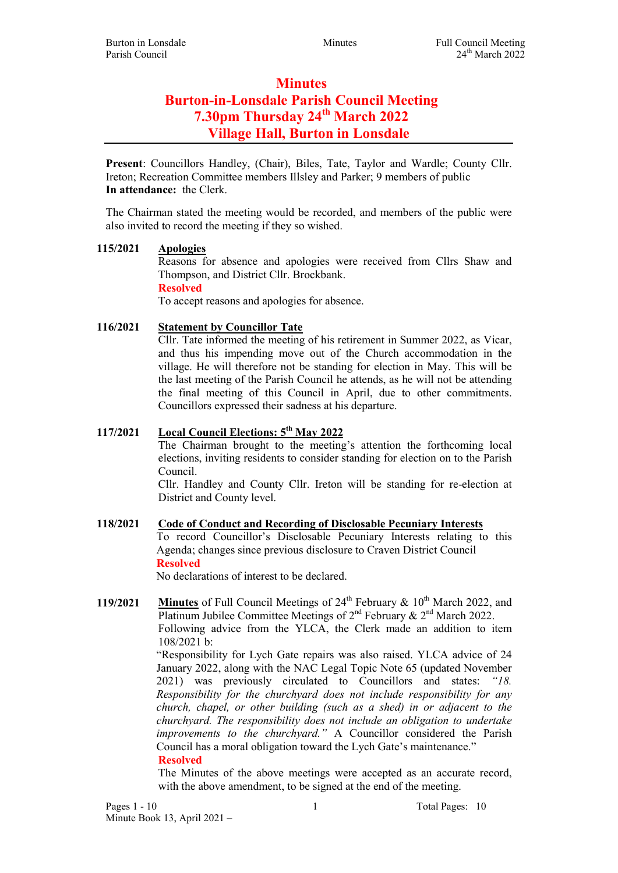# **Minutes** Burton-in-Lonsdale Parish Council Meeting 7.30pm Thursday 24<sup>th</sup> March 2022 Village Hall, Burton in Lonsdale

Present: Councillors Handley, (Chair), Biles, Tate, Taylor and Wardle; County Cllr. Ireton; Recreation Committee members Illsley and Parker; 9 members of public In attendance: the Clerk.

The Chairman stated the meeting would be recorded, and members of the public were also invited to record the meeting if they so wished.

## 115/2021 Apologies

Reasons for absence and apologies were received from Cllrs Shaw and Thompson, and District Cllr. Brockbank.

Resolved

To accept reasons and apologies for absence.

## 116/2021 Statement by Councillor Tate

Cllr. Tate informed the meeting of his retirement in Summer 2022, as Vicar, and thus his impending move out of the Church accommodation in the village. He will therefore not be standing for election in May. This will be the last meeting of the Parish Council he attends, as he will not be attending the final meeting of this Council in April, due to other commitments. Councillors expressed their sadness at his departure.

# 117/2021 Local Council Elections: 5<sup>th</sup> May 2022

The Chairman brought to the meeting's attention the forthcoming local elections, inviting residents to consider standing for election on to the Parish Council.

Cllr. Handley and County Cllr. Ireton will be standing for re-election at District and County level.

## 118/2021 Code of Conduct and Recording of Disclosable Pecuniary Interests To record Councillor's Disclosable Pecuniary Interests relating to this Agenda; changes since previous disclosure to Craven District Council Resolved

No declarations of interest to be declared.

119/2021 Minutes of Full Council Meetings of  $24<sup>th</sup>$  February &  $10<sup>th</sup>$  March 2022, and Platinum Jubilee Committee Meetings of  $2<sup>nd</sup>$  February &  $2<sup>nd</sup>$  March 2022. Following advice from the YLCA, the Clerk made an addition to item 108/2021 b:

"Responsibility for Lych Gate repairs was also raised. YLCA advice of 24 January 2022, along with the NAC Legal Topic Note 65 (updated November 2021) was previously circulated to Councillors and states: "18. Responsibility for the churchyard does not include responsibility for any church, chapel, or other building (such as a shed) in or adjacent to the churchyard. The responsibility does not include an obligation to undertake improvements to the churchyard." A Councillor considered the Parish Council has a moral obligation toward the Lych Gate's maintenance."

#### Resolved

The Minutes of the above meetings were accepted as an accurate record, with the above amendment, to be signed at the end of the meeting.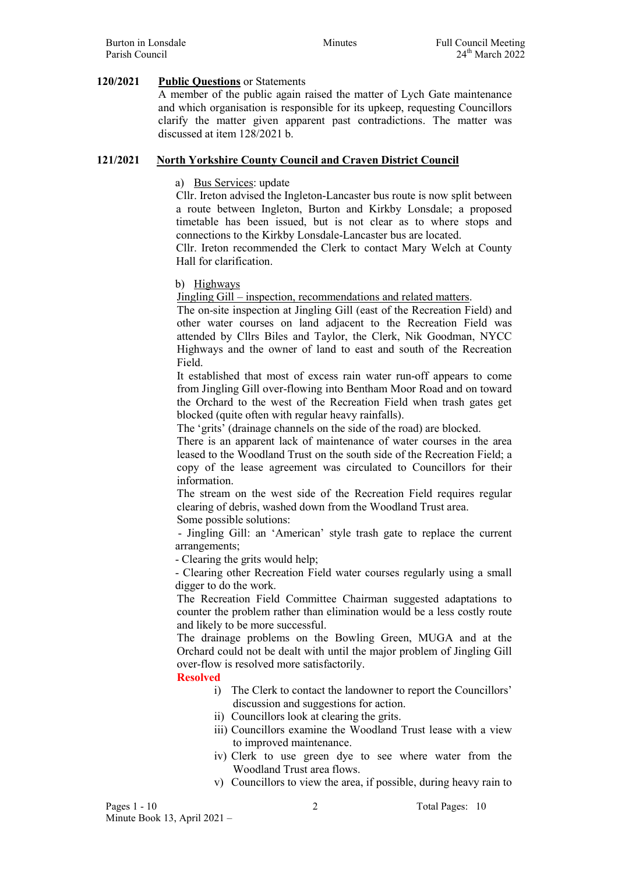#### 120/2021 Public Questions or Statements

A member of the public again raised the matter of Lych Gate maintenance and which organisation is responsible for its upkeep, requesting Councillors clarify the matter given apparent past contradictions. The matter was discussed at item 128/2021 b.

#### 121/2021 North Yorkshire County Council and Craven District Council

#### a) Bus Services: update

Cllr. Ireton advised the Ingleton-Lancaster bus route is now split between a route between Ingleton, Burton and Kirkby Lonsdale; a proposed timetable has been issued, but is not clear as to where stops and connections to the Kirkby Lonsdale-Lancaster bus are located.

Cllr. Ireton recommended the Clerk to contact Mary Welch at County Hall for clarification.

b) Highways

Jingling Gill – inspection, recommendations and related matters.

The on-site inspection at Jingling Gill (east of the Recreation Field) and other water courses on land adjacent to the Recreation Field was attended by Cllrs Biles and Taylor, the Clerk, Nik Goodman, NYCC Highways and the owner of land to east and south of the Recreation Field.

It established that most of excess rain water run-off appears to come from Jingling Gill over-flowing into Bentham Moor Road and on toward the Orchard to the west of the Recreation Field when trash gates get blocked (quite often with regular heavy rainfalls).

The 'grits' (drainage channels on the side of the road) are blocked.

There is an apparent lack of maintenance of water courses in the area leased to the Woodland Trust on the south side of the Recreation Field; a copy of the lease agreement was circulated to Councillors for their information.

The stream on the west side of the Recreation Field requires regular clearing of debris, washed down from the Woodland Trust area.

Some possible solutions:

 - Jingling Gill: an 'American' style trash gate to replace the current arrangements;

- Clearing the grits would help;

- Clearing other Recreation Field water courses regularly using a small digger to do the work.

The Recreation Field Committee Chairman suggested adaptations to counter the problem rather than elimination would be a less costly route and likely to be more successful.

The drainage problems on the Bowling Green, MUGA and at the Orchard could not be dealt with until the major problem of Jingling Gill over-flow is resolved more satisfactorily.

#### Resolved

- i) The Clerk to contact the landowner to report the Councillors' discussion and suggestions for action.
- ii) Councillors look at clearing the grits.
- iii) Councillors examine the Woodland Trust lease with a view to improved maintenance.
- iv) Clerk to use green dye to see where water from the Woodland Trust area flows.
- v) Councillors to view the area, if possible, during heavy rain to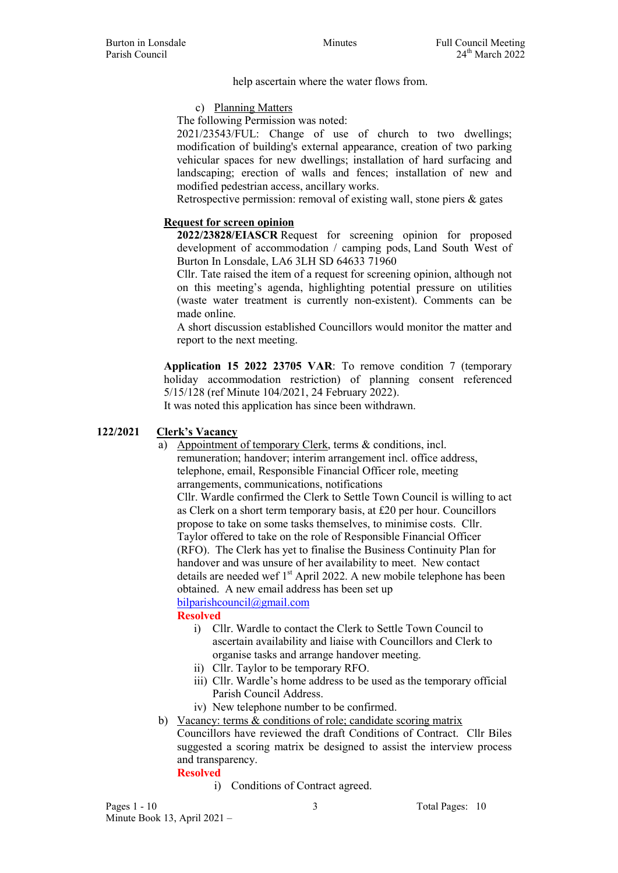help ascertain where the water flows from.

c) Planning Matters

The following Permission was noted:

2021/23543/FUL: Change of use of church to two dwellings; modification of building's external appearance, creation of two parking vehicular spaces for new dwellings; installation of hard surfacing and landscaping; erection of walls and fences; installation of new and modified pedestrian access, ancillary works.

Retrospective permission: removal of existing wall, stone piers & gates

## Request for screen opinion

2022/23828/EIASCR Request for screening opinion for proposed development of accommodation / camping pods, Land South West of Burton In Lonsdale, LA6 3LH SD 64633 71960

Cllr. Tate raised the item of a request for screening opinion, although not on this meeting's agenda, highlighting potential pressure on utilities (waste water treatment is currently non-existent). Comments can be made online.

A short discussion established Councillors would monitor the matter and report to the next meeting.

Application 15 2022 23705 VAR: To remove condition 7 (temporary holiday accommodation restriction) of planning consent referenced 5/15/128 (ref Minute 104/2021, 24 February 2022).

It was noted this application has since been withdrawn.

## 122/2021 Clerk's Vacancy

a) Appointment of temporary Clerk, terms & conditions, incl. remuneration; handover; interim arrangement incl. office address, telephone, email, Responsible Financial Officer role, meeting arrangements, communications, notifications

Cllr. Wardle confirmed the Clerk to Settle Town Council is willing to act as Clerk on a short term temporary basis, at £20 per hour. Councillors propose to take on some tasks themselves, to minimise costs. Cllr. Taylor offered to take on the role of Responsible Financial Officer (RFO). The Clerk has yet to finalise the Business Continuity Plan for handover and was unsure of her availability to meet. New contact details are needed wef 1<sup>st</sup> April 2022. A new mobile telephone has been obtained. A new email address has been set up bilparishcouncil@gmail.com

## Resolved

- i) Cllr. Wardle to contact the Clerk to Settle Town Council to ascertain availability and liaise with Councillors and Clerk to organise tasks and arrange handover meeting.
- ii) Cllr. Taylor to be temporary RFO.
- iii) Cllr. Wardle's home address to be used as the temporary official Parish Council Address.
- iv) New telephone number to be confirmed.
- b) Vacancy: terms & conditions of role; candidate scoring matrix Councillors have reviewed the draft Conditions of Contract. Cllr Biles suggested a scoring matrix be designed to assist the interview process and transparency.

#### Resolved

i) Conditions of Contract agreed.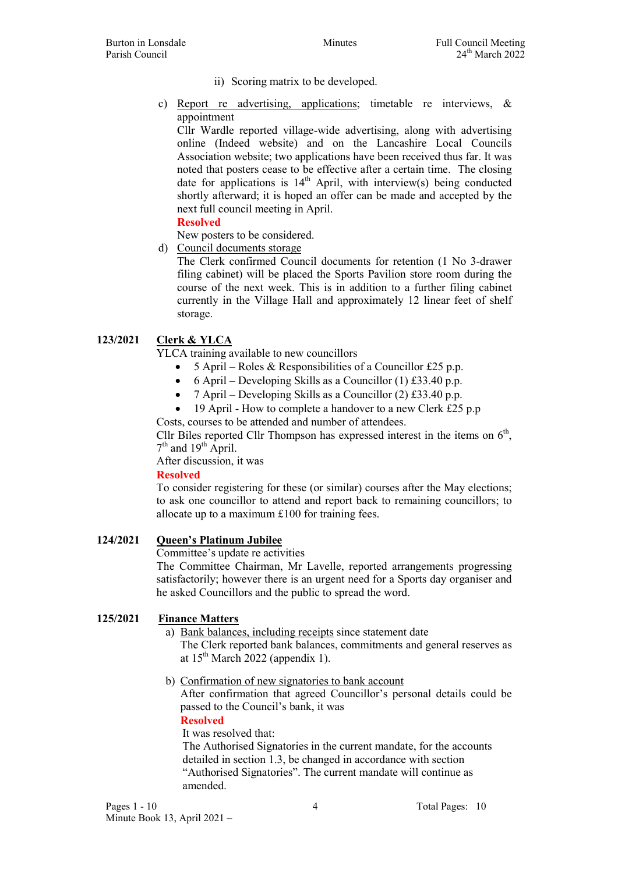- ii) Scoring matrix to be developed.
- c) Report re advertising, applications; timetable re interviews, & appointment

Cllr Wardle reported village-wide advertising, along with advertising online (Indeed website) and on the Lancashire Local Councils Association website; two applications have been received thus far. It was noted that posters cease to be effective after a certain time. The closing date for applications is  $14<sup>th</sup>$  April, with interview(s) being conducted shortly afterward; it is hoped an offer can be made and accepted by the next full council meeting in April.

Resolved

New posters to be considered.

d) Council documents storage

The Clerk confirmed Council documents for retention (1 No 3-drawer filing cabinet) will be placed the Sports Pavilion store room during the course of the next week. This is in addition to a further filing cabinet currently in the Village Hall and approximately 12 linear feet of shelf storage.

## 123/2021 Clerk & YLCA

YLCA training available to new councillors

- 5 April Roles & Responsibilities of a Councillor £25 p.p.
- $\bullet$  6 April Developing Skills as a Councillor (1) £33.40 p.p.
- 7 April Developing Skills as a Councillor (2) £33.40 p.p.
- 19 April How to complete a handover to a new Clerk £25 p.p Costs, courses to be attended and number of attendees.

Cllr Biles reported Cllr Thompson has expressed interest in the items on  $6<sup>th</sup>$ ,  $7<sup>th</sup>$  and  $19<sup>th</sup>$  April.

After discussion, it was

#### Resolved

To consider registering for these (or similar) courses after the May elections; to ask one councillor to attend and report back to remaining councillors; to allocate up to a maximum £100 for training fees.

### 124/2021 Queen's Platinum Jubilee

Committee's update re activities

The Committee Chairman, Mr Lavelle, reported arrangements progressing satisfactorily; however there is an urgent need for a Sports day organiser and he asked Councillors and the public to spread the word.

## 125/2021 Finance Matters

a) Bank balances, including receipts since statement date

The Clerk reported bank balances, commitments and general reserves as at  $15^{th}$  March 2022 (appendix 1).

b) Confirmation of new signatories to bank account

After confirmation that agreed Councillor's personal details could be passed to the Council's bank, it was

Resolved

It was resolved that:

The Authorised Signatories in the current mandate, for the accounts detailed in section 1.3, be changed in accordance with section "Authorised Signatories". The current mandate will continue as amended.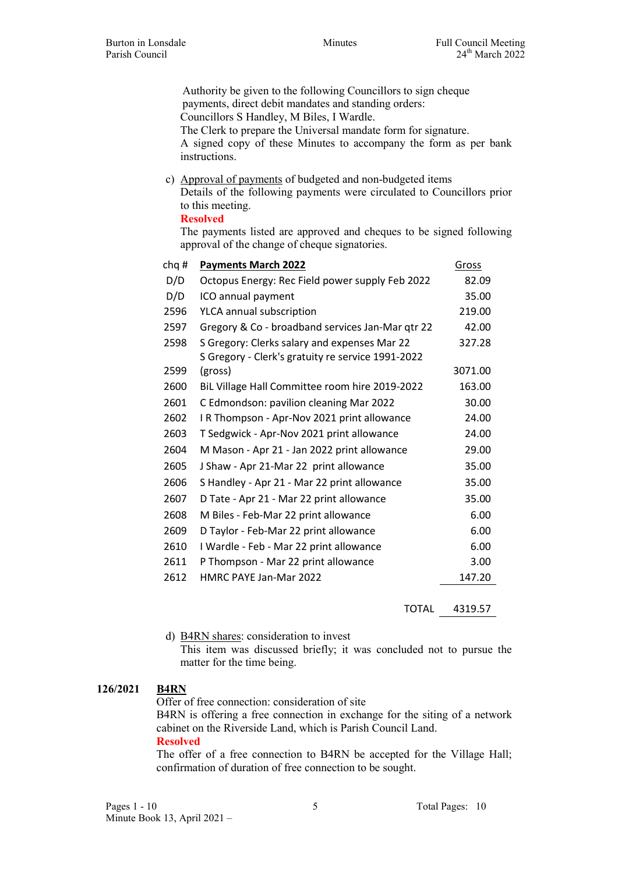Authority be given to the following Councillors to sign cheque payments, direct debit mandates and standing orders: Councillors S Handley, M Biles, I Wardle. The Clerk to prepare the Universal mandate form for signature. A signed copy of these Minutes to accompany the form as per bank instructions.

c) Approval of payments of budgeted and non-budgeted items Details of the following payments were circulated to Councillors prior to this meeting.

#### Resolved

The payments listed are approved and cheques to be signed following approval of the change of cheque signatories.

| chq# | <b>Payments March 2022</b>                                                                        | Gross   |
|------|---------------------------------------------------------------------------------------------------|---------|
| D/D  | Octopus Energy: Rec Field power supply Feb 2022                                                   | 82.09   |
| D/D  | ICO annual payment                                                                                | 35.00   |
| 2596 | YLCA annual subscription                                                                          | 219.00  |
| 2597 | Gregory & Co - broadband services Jan-Mar qtr 22                                                  | 42.00   |
| 2598 | S Gregory: Clerks salary and expenses Mar 22<br>S Gregory - Clerk's gratuity re service 1991-2022 | 327.28  |
| 2599 | (gross)                                                                                           | 3071.00 |
| 2600 | BiL Village Hall Committee room hire 2019-2022                                                    | 163.00  |
| 2601 | C Edmondson: pavilion cleaning Mar 2022                                                           | 30.00   |
| 2602 | I R Thompson - Apr-Nov 2021 print allowance                                                       | 24.00   |
| 2603 | T Sedgwick - Apr-Nov 2021 print allowance                                                         | 24.00   |
| 2604 | M Mason - Apr 21 - Jan 2022 print allowance                                                       | 29.00   |
| 2605 | J Shaw - Apr 21-Mar 22 print allowance                                                            | 35.00   |
| 2606 | S Handley - Apr 21 - Mar 22 print allowance                                                       | 35.00   |
| 2607 | D Tate - Apr 21 - Mar 22 print allowance                                                          | 35.00   |
| 2608 | M Biles - Feb-Mar 22 print allowance                                                              | 6.00    |
| 2609 | D Taylor - Feb-Mar 22 print allowance                                                             | 6.00    |
| 2610 | I Wardle - Feb - Mar 22 print allowance                                                           | 6.00    |
| 2611 | P Thompson - Mar 22 print allowance                                                               | 3.00    |
| 2612 | HMRC PAYE Jan-Mar 2022                                                                            | 147.20  |
|      |                                                                                                   |         |

TOTAL 4319.57

d) B4RN shares: consideration to invest

This item was discussed briefly; it was concluded not to pursue the matter for the time being.

#### 126/2021 B4RN

Offer of free connection: consideration of site

B4RN is offering a free connection in exchange for the siting of a network cabinet on the Riverside Land, which is Parish Council Land.

#### Resolved

The offer of a free connection to B4RN be accepted for the Village Hall; confirmation of duration of free connection to be sought.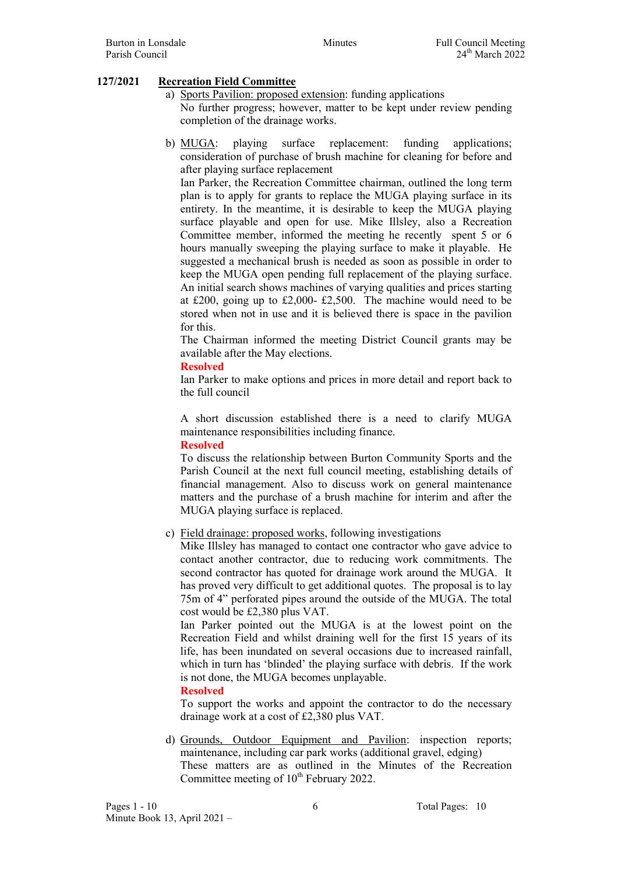## 127/2021 Recreation Field Committee

- a) Sports Pavilion: proposed extension: funding applications No further progress; however, matter to be kept under review pending completion of the drainage works.
- b) MUGA: playing surface replacement: funding applications; consideration of purchase of brush machine for cleaning for before and after playing surface replacement

Ian Parker, the Recreation Committee chairman, outlined the long term plan is to apply for grants to replace the MUGA playing surface in its entirety. In the meantime, it is desirable to keep the MUGA playing surface playable and open for use. Mike Illsley, also a Recreation Committee member, informed the meeting he recently spent 5 or 6 hours manually sweeping the playing surface to make it playable. He suggested a mechanical brush is needed as soon as possible in order to keep the MUGA open pending full replacement of the playing surface. An initial search shows machines of varying qualities and prices starting at £200, going up to £2,000- £2,500. The machine would need to be stored when not in use and it is believed there is space in the pavilion for this.

The Chairman informed the meeting District Council grants may be available after the May elections.

#### Resolved

Ian Parker to make options and prices in more detail and report back to the full council

A short discussion established there is a need to clarify MUGA maintenance responsibilities including finance.

#### Resolved

To discuss the relationship between Burton Community Sports and the Parish Council at the next full council meeting, establishing details of financial management. Also to discuss work on general maintenance matters and the purchase of a brush machine for interim and after the MUGA playing surface is replaced.

c) Field drainage: proposed works, following investigations

Mike Illsley has managed to contact one contractor who gave advice to contact another contractor, due to reducing work commitments. The second contractor has quoted for drainage work around the MUGA. It has proved very difficult to get additional quotes. The proposal is to lay 75m of 4" perforated pipes around the outside of the MUGA. The total cost would be £2,380 plus VAT.

Ian Parker pointed out the MUGA is at the lowest point on the Recreation Field and whilst draining well for the first 15 years of its life, has been inundated on several occasions due to increased rainfall, which in turn has 'blinded' the playing surface with debris. If the work is not done, the MUGA becomes unplayable.

#### Resolved

To support the works and appoint the contractor to do the necessary drainage work at a cost of £2,380 plus VAT.

d) Grounds, Outdoor Equipment and Pavilion: inspection reports; maintenance, including car park works (additional gravel, edging) These matters are as outlined in the Minutes of the Recreation Committee meeting of  $10<sup>th</sup>$  February 2022.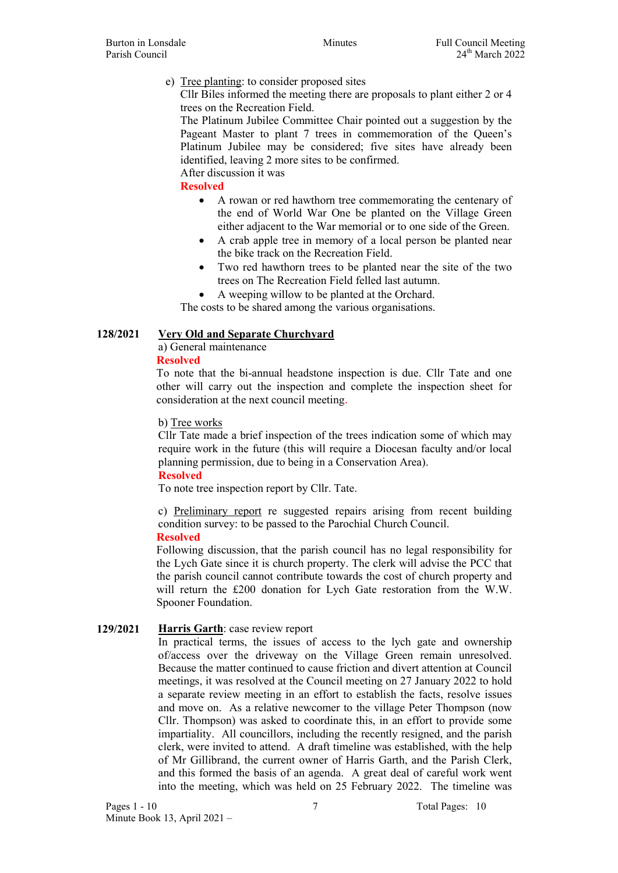### e) Tree planting: to consider proposed sites

Cllr Biles informed the meeting there are proposals to plant either 2 or 4 trees on the Recreation Field.

The Platinum Jubilee Committee Chair pointed out a suggestion by the Pageant Master to plant 7 trees in commemoration of the Queen's Platinum Jubilee may be considered; five sites have already been identified, leaving 2 more sites to be confirmed.

After discussion it was

Resolved

- A rowan or red hawthorn tree commemorating the centenary of the end of World War One be planted on the Village Green either adjacent to the War memorial or to one side of the Green.
- A crab apple tree in memory of a local person be planted near the bike track on the Recreation Field.
- Two red hawthorn trees to be planted near the site of the two trees on The Recreation Field felled last autumn.
- A weeping willow to be planted at the Orchard.

The costs to be shared among the various organisations.

## 128/2021 Very Old and Separate Churchyard

a) General maintenance

#### Resolved

To note that the bi-annual headstone inspection is due. Cllr Tate and one other will carry out the inspection and complete the inspection sheet for consideration at the next council meeting.

b) Tree works

Cllr Tate made a brief inspection of the trees indication some of which may require work in the future (this will require a Diocesan faculty and/or local planning permission, due to being in a Conservation Area).

#### Resolved

To note tree inspection report by Cllr. Tate.

c) Preliminary report re suggested repairs arising from recent building condition survey: to be passed to the Parochial Church Council.

#### Resolved

Following discussion, that the parish council has no legal responsibility for the Lych Gate since it is church property. The clerk will advise the PCC that the parish council cannot contribute towards the cost of church property and will return the £200 donation for Lych Gate restoration from the W.W. Spooner Foundation.

## 129/2021 Harris Garth: case review report

In practical terms, the issues of access to the lych gate and ownership of/access over the driveway on the Village Green remain unresolved. Because the matter continued to cause friction and divert attention at Council meetings, it was resolved at the Council meeting on 27 January 2022 to hold a separate review meeting in an effort to establish the facts, resolve issues and move on. As a relative newcomer to the village Peter Thompson (now Cllr. Thompson) was asked to coordinate this, in an effort to provide some impartiality. All councillors, including the recently resigned, and the parish clerk, were invited to attend. A draft timeline was established, with the help of Mr Gillibrand, the current owner of Harris Garth, and the Parish Clerk, and this formed the basis of an agenda. A great deal of careful work went into the meeting, which was held on 25 February 2022. The timeline was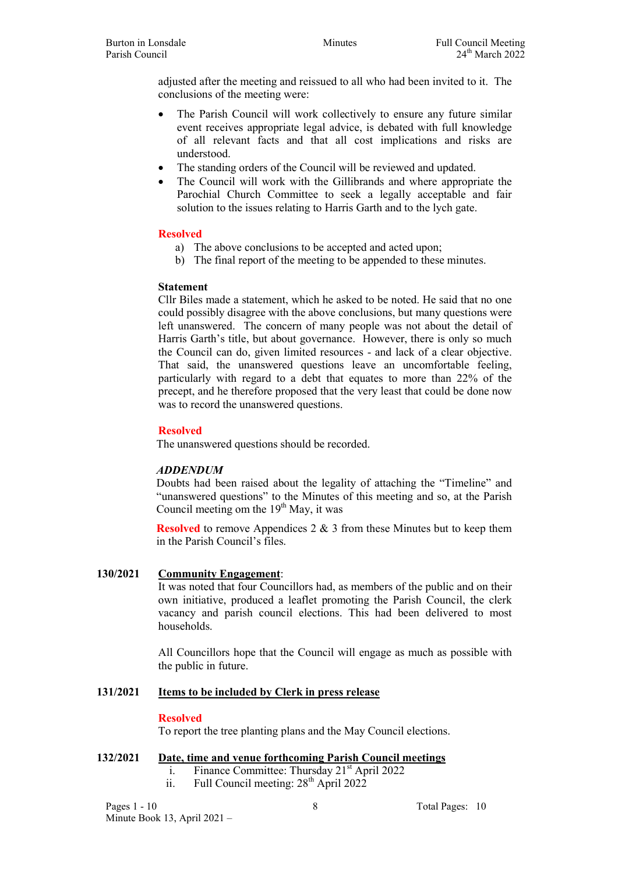adjusted after the meeting and reissued to all who had been invited to it. The conclusions of the meeting were:

- The Parish Council will work collectively to ensure any future similar event receives appropriate legal advice, is debated with full knowledge of all relevant facts and that all cost implications and risks are understood.
- The standing orders of the Council will be reviewed and updated.
- The Council will work with the Gillibrands and where appropriate the Parochial Church Committee to seek a legally acceptable and fair solution to the issues relating to Harris Garth and to the lych gate.

### Resolved

- a) The above conclusions to be accepted and acted upon;
- b) The final report of the meeting to be appended to these minutes.

#### Statement

Cllr Biles made a statement, which he asked to be noted. He said that no one could possibly disagree with the above conclusions, but many questions were left unanswered. The concern of many people was not about the detail of Harris Garth's title, but about governance. However, there is only so much the Council can do, given limited resources - and lack of a clear objective. That said, the unanswered questions leave an uncomfortable feeling, particularly with regard to a debt that equates to more than 22% of the precept, and he therefore proposed that the very least that could be done now was to record the unanswered questions.

### Resolved

The unanswered questions should be recorded.

#### ADDENDUM

Doubts had been raised about the legality of attaching the "Timeline" and "unanswered questions" to the Minutes of this meeting and so, at the Parish Council meeting om the  $19<sup>th</sup>$  May, it was

Resolved to remove Appendices 2 & 3 from these Minutes but to keep them in the Parish Council's files.

#### 130/2021 Community Engagement:

It was noted that four Councillors had, as members of the public and on their own initiative, produced a leaflet promoting the Parish Council, the clerk vacancy and parish council elections. This had been delivered to most households.

All Councillors hope that the Council will engage as much as possible with the public in future.

#### 131/2021 Items to be included by Clerk in press release

#### Resolved

To report the tree planting plans and the May Council elections.

## 132/2021 Date, time and venue forthcoming Parish Council meetings

- i. Finance Committee: Thursday  $21<sup>st</sup>$  April 2022
- ii. Full Council meeting:  $28<sup>th</sup>$  April 2022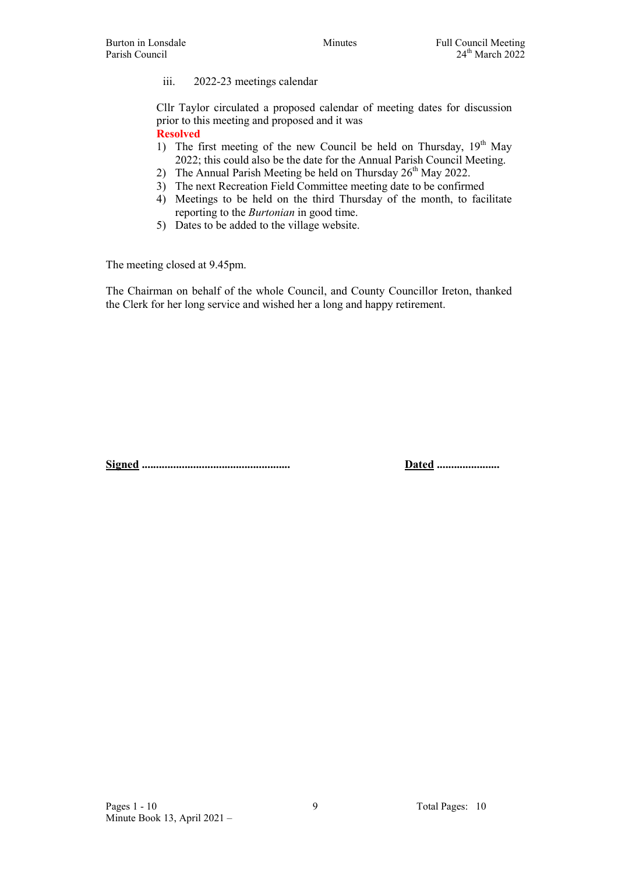#### iii. 2022-23 meetings calendar

Cllr Taylor circulated a proposed calendar of meeting dates for discussion prior to this meeting and proposed and it was Resolved

- 1) The first meeting of the new Council be held on Thursday,  $19<sup>th</sup>$  May 2022; this could also be the date for the Annual Parish Council Meeting.
- 2) The Annual Parish Meeting be held on Thursday  $26<sup>th</sup>$  May 2022.
- 3) The next Recreation Field Committee meeting date to be confirmed
- 4) Meetings to be held on the third Thursday of the month, to facilitate reporting to the *Burtonian* in good time.
- 5) Dates to be added to the village website.

The meeting closed at 9.45pm.

The Chairman on behalf of the whole Council, and County Councillor Ireton, thanked the Clerk for her long service and wished her a long and happy retirement.

Signed .................................................... Dated ......................